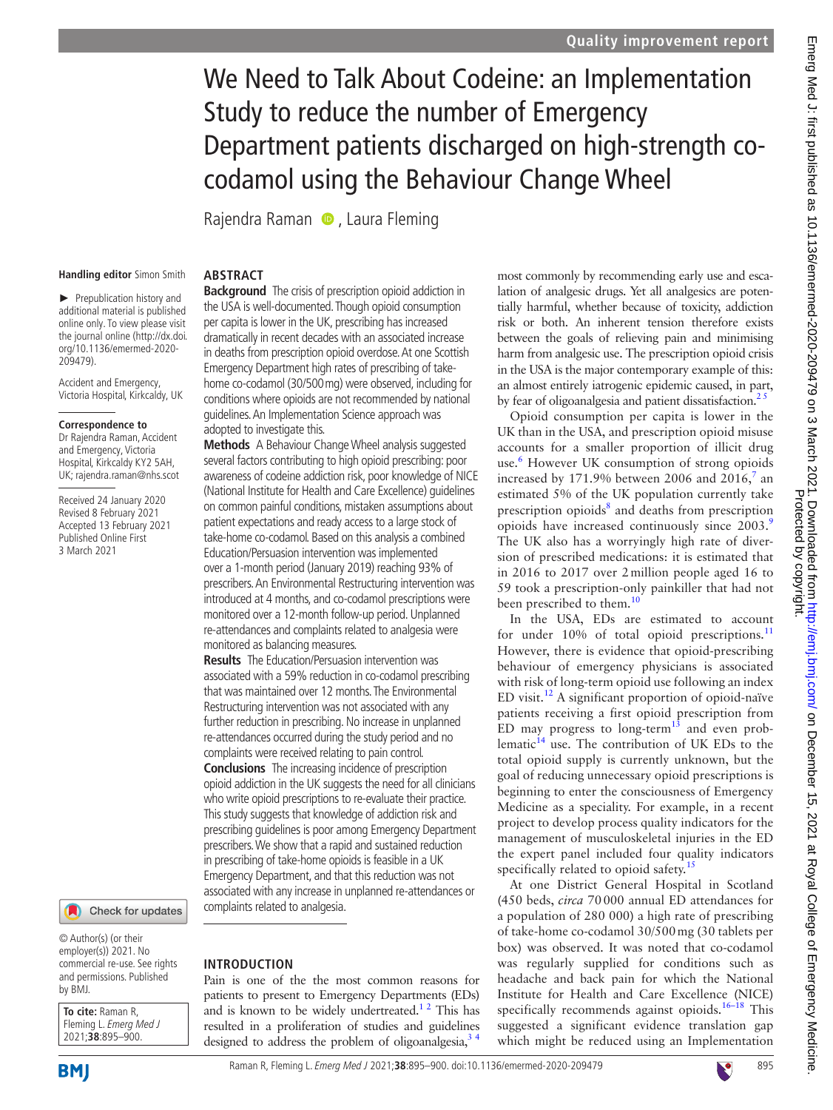# We Need to Talk About Codeine: an Implementation Study to reduce the number of Emergency Department patients discharged on high-strength cocodamol using the Behaviour Change Wheel

RajendraRaman **D**, Laura Fleming

#### **Handling editor** Simon Smith

► Prepublication history and additional material is published online only. To view please visit the journal online (http://dx.doi. org/10.1136/emermed-2020- 209479).

Accident and Emergency, Victoria Hospital, Kirkcaldy, UK

#### **Correspondence to**

Dr Rajendra Raman, Accident and Emergency, Victoria Hospital, Kirkcaldy KY2 5AH, UK; rajendra.raman@nhs.scot

Received 24 January 2020 Revised 8 February 2021 Accepted 13 February 2021 Published Online First 3 March 2021



© Author(s) (or their employer(s)) 2021. No commercial re-use. See rights and permissions. Published by BMJ.

**To cite:** Raman R, Fleming L. Emerg Med J 2021;**38**:895–900.

**BMI** 

## **ABSTRACT**

**Background** The crisis of prescription opioid addiction in the USA is well-documented. Though opioid consumption per capita is lower in the UK, prescribing has increased dramatically in recent decades with an associated increase in deaths from prescription opioid overdose. At one Scottish Emergency Department high rates of prescribing of takehome co-codamol (30/500mg) were observed, including for conditions where opioids are not recommended by national guidelines. An Implementation Science approach was adopted to investigate this.

**Methods** A Behaviour Change Wheel analysis suggested several factors contributing to high opioid prescribing: poor awareness of codeine addiction risk, poor knowledge of NICE (National Institute for Health and Care Excellence) guidelines on common painful conditions, mistaken assumptions about patient expectations and ready access to a large stock of take-home co-codamol. Based on this analysis a combined Education/Persuasion intervention was implemented over a 1-month period (January 2019) reaching 93% of prescribers. An Environmental Restructuring intervention was introduced at 4 months, and co-codamol prescriptions were monitored over a 12-month follow-up period. Unplanned re-attendances and complaints related to analgesia were monitored as balancing measures.

**Results** The Education/Persuasion intervention was associated with a 59% reduction in co-codamol prescribing that was maintained over 12 months. The Environmental Restructuring intervention was not associated with any further reduction in prescribing. No increase in unplanned re-attendances occurred during the study period and no complaints were received relating to pain control. **Conclusions** The increasing incidence of prescription opioid addiction in the UK suggests the need for all clinicians who write opioid prescriptions to re-evaluate their practice. This study suggests that knowledge of addiction risk and prescribing guidelines is poor among Emergency Department prescribers. We show that a rapid and sustained reduction in prescribing of take-home opioids is feasible in a UK Emergency Department, and that this reduction was not associated with any increase in unplanned re-attendances or complaints related to analgesia.

## **INTRODUCTION**

Pain is one of the the most common reasons for patients to present to Emergency Departments (EDs) and is known to be widely undertreated.<sup>12</sup> This has resulted in a proliferation of studies and guidelines designed to address the problem of oligoanalgesia, $3 \div$ 

most commonly by recommending early use and escalation of analgesic drugs. Yet all analgesics are potentially harmful, whether because of toxicity, addiction risk or both. An inherent tension therefore exists between the goals of relieving pain and minimising harm from analgesic use. The prescription opioid crisis in the USA is the major contemporary example of this: an almost entirely iatrogenic epidemic caused, in part, by fear of oligoanalgesia and patient dissatisfaction.<sup>25</sup>

Opioid consumption per capita is lower in the UK than in the USA, and prescription opioid misuse accounts for a smaller proportion of illicit drug use.<sup>[6](#page-4-3)</sup> However UK consumption of strong opioids increased by 1[7](#page-4-4)1.9% between 2006 and 2016, $^7$  an estimated 5% of the UK population currently take prescription opioids<sup>[8](#page-4-5)</sup> and deaths from prescription opioids have increased continuously since 2003.<sup>[9](#page-5-0)</sup> The UK also has a worryingly high rate of diversion of prescribed medications: it is estimated that in 2016 to 2017 over 2million people aged 16 to 59 took a prescription-only painkiller that had not been prescribed to them.<sup>10</sup>

In the USA, EDs are estimated to account for under 10% of total opioid prescriptions.<sup>[11](#page-5-2)</sup> However, there is evidence that opioid-prescribing behaviour of emergency physicians is associated with risk of long-term opioid use following an index ED visit. $^{12}$  A significant proportion of opioid-naïve patients receiving a first opioid prescription from ED may progress to long-term<sup>13</sup> and even problematic $^{14}$  use. The contribution of UK EDs to the total opioid supply is currently unknown, but the goal of reducing unnecessary opioid prescriptions is beginning to enter the consciousness of Emergency Medicine as a speciality. For example, in a recent project to develop process quality indicators for the management of musculoskeletal injuries in the ED the expert panel included four quality indicators specifically related to opioid safety.<sup>[15](#page-5-6)</sup>

At one District General Hospital in Scotland (450 beds, *circa* 70000 annual ED attendances for a population of 280 000) a high rate of prescribing of take-home co-codamol 30/500mg (30 tablets per box) was observed. It was noted that co-codamol was regularly supplied for conditions such as headache and back pain for which the National Institute for Health and Care Excellence (NICE) specifically recommends against opioids.<sup>16-18</sup> This suggested a significant evidence translation gap which might be reduced using an Implementation

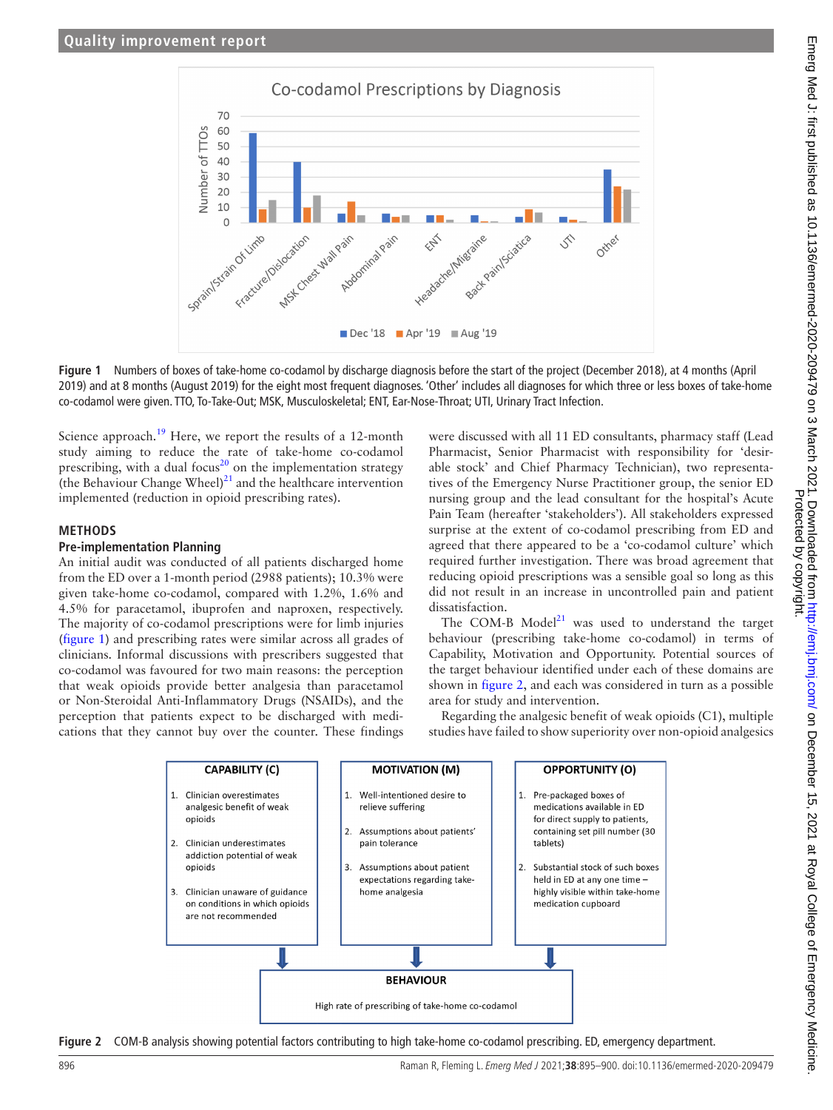

**Figure 1** Numbers of boxes of take-home co-codamol by discharge diagnosis before the start of the project (December 2018), at 4 months (April 2019) and at 8 months (August 2019) for the eight most frequent diagnoses. 'Other' includes all diagnoses for which three or less boxes of take-home co-codamol were given. TTO, To-Take-Out; MSK, Musculoskeletal; ENT, Ear-Nose-Throat; UTI, Urinary Tract Infection.

Science approach.<sup>19</sup> Here, we report the results of a 12-month study aiming to reduce the rate of take-home co-codamol prescribing, with a dual focus<sup>20</sup> on the implementation strategy (the Behaviour Change Wheel) $^{21}$  and the healthcare intervention implemented (reduction in opioid prescribing rates).

#### **METHODS**

#### **Pre-implementation Planning**

An initial audit was conducted of all patients discharged home from the ED over a 1-month period (2988 patients); 10.3% were given take-home co-codamol, compared with 1.2%, 1.6% and 4.5% for paracetamol, ibuprofen and naproxen, respectively. The majority of co-codamol prescriptions were for limb injuries ([figure](#page-1-0) 1) and prescribing rates were similar across all grades of clinicians. Informal discussions with prescribers suggested that co-codamol was favoured for two main reasons: the perception that weak opioids provide better analgesia than paracetamol or Non-Steroidal Anti-Inflammatory Drugs (NSAIDs), and the perception that patients expect to be discharged with medications that they cannot buy over the counter. These findings

<span id="page-1-0"></span>were discussed with all 11 ED consultants, pharmacy staff (Lead Pharmacist, Senior Pharmacist with responsibility for 'desirable stock' and Chief Pharmacy Technician), two representatives of the Emergency Nurse Practitioner group, the senior ED nursing group and the lead consultant for the hospital's Acute Pain Team (hereafter 'stakeholders'). All stakeholders expressed surprise at the extent of co-codamol prescribing from ED and agreed that there appeared to be a 'co-codamol culture' which required further investigation. There was broad agreement that reducing opioid prescriptions was a sensible goal so long as this did not result in an increase in uncontrolled pain and patient dissatisfaction.

The COM-B Model $^{21}$  was used to understand the target behaviour (prescribing take-home co-codamol) in terms of Capability, Motivation and Opportunity. Potential sources of the target behaviour identified under each of these domains are shown in [figure](#page-1-1) 2, and each was considered in turn as a possible area for study and intervention.

Regarding the analgesic benefit of weak opioids (C1), multiple studies have failed to show superiority over non-opioid analgesics



<span id="page-1-1"></span>**Figure 2** COM-B analysis showing potential factors contributing to high take-home co-codamol prescribing. ED, emergency department.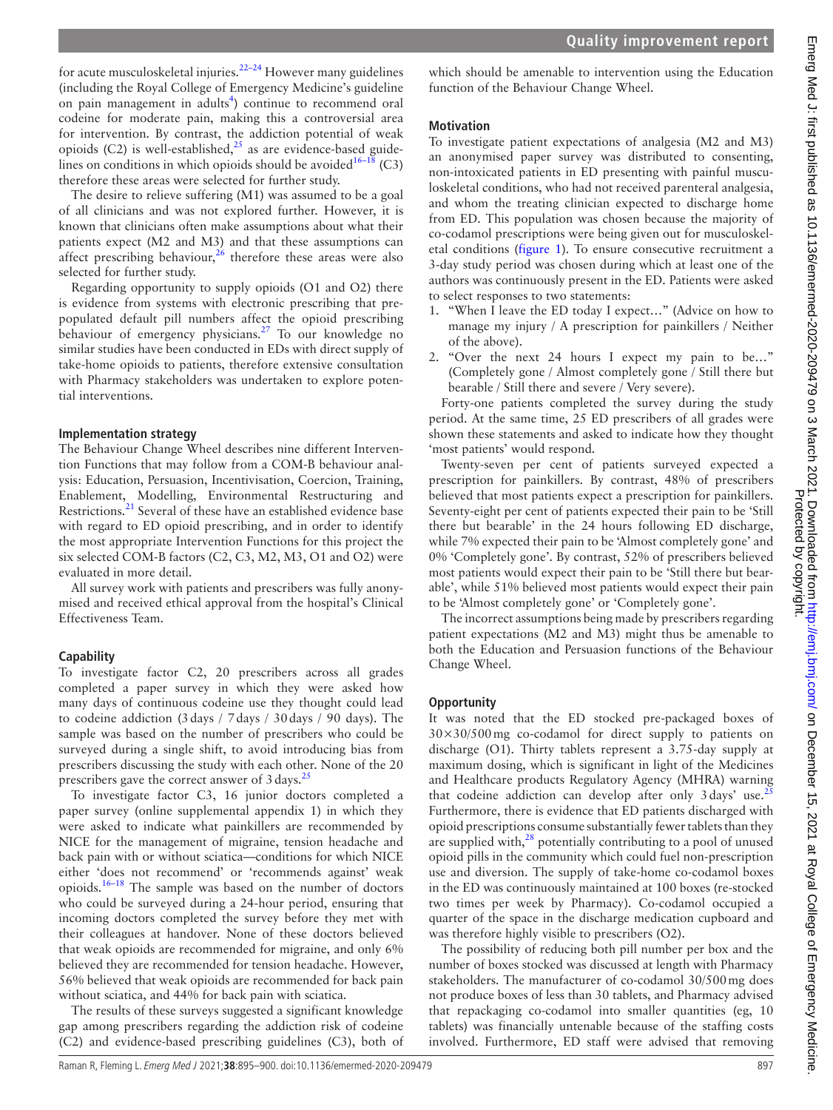for acute musculoskeletal injuries. $22-24$  However many guidelines (including the Royal College of Emergency Medicine's guideline on pain management in adults<sup>[4](#page-4-6)</sup>) continue to recommend oral codeine for moderate pain, making this a controversial area for intervention. By contrast, the addiction potential of weak opioids (C2) is well-established, $25$  as are evidence-based guidelines on conditions in which opioids should be avoided<sup>16–18</sup> (C3) therefore these areas were selected for further study.

The desire to relieve suffering (M1) was assumed to be a goal of all clinicians and was not explored further. However, it is known that clinicians often make assumptions about what their patients expect (M2 and M3) and that these assumptions can affect prescribing behaviour, $26$  therefore these areas were also selected for further study.

Regarding opportunity to supply opioids (O1 and O2) there is evidence from systems with electronic prescribing that prepopulated default pill numbers affect the opioid prescribing behaviour of emergency physicians.<sup>[27](#page-5-14)</sup> To our knowledge no similar studies have been conducted in EDs with direct supply of take-home opioids to patients, therefore extensive consultation with Pharmacy stakeholders was undertaken to explore potential interventions.

## **Implementation strategy**

The Behaviour Change Wheel describes nine different Intervention Functions that may follow from a COM-B behaviour analysis: Education, Persuasion, Incentivisation, Coercion, Training, Enablement, Modelling, Environmental Restructuring and Restrictions.<sup>[21](#page-5-10)</sup> Several of these have an established evidence base with regard to ED opioid prescribing, and in order to identify the most appropriate Intervention Functions for this project the six selected COM-B factors (C2, C3, M2, M3, O1 and O2) were evaluated in more detail.

All survey work with patients and prescribers was fully anonymised and received ethical approval from the hospital's Clinical Effectiveness Team.

# **Capability**

To investigate factor C2, 20 prescribers across all grades completed a paper survey in which they were asked how many days of continuous codeine use they thought could lead to codeine addiction (3days / 7days / 30days / 90 days). The sample was based on the number of prescribers who could be surveyed during a single shift, to avoid introducing bias from prescribers discussing the study with each other. None of the 20 prescribers gave the correct answer of  $3 \text{ days}$ .<sup>[25](#page-5-12)</sup>

To investigate factor C3, 16 junior doctors completed a paper survey [\(online supplemental appendix 1\)](https://dx.doi.org/10.1136/emermed-2020-209479) in which they were asked to indicate what painkillers are recommended by NICE for the management of migraine, tension headache and back pain with or without sciatica—conditions for which NICE either 'does not recommend' or 'recommends against' weak opioids.[16–18](#page-5-7) The sample was based on the number of doctors who could be surveyed during a 24-hour period, ensuring that incoming doctors completed the survey before they met with their colleagues at handover. None of these doctors believed that weak opioids are recommended for migraine, and only 6% believed they are recommended for tension headache. However, 56% believed that weak opioids are recommended for back pain without sciatica, and 44% for back pain with sciatica.

The results of these surveys suggested a significant knowledge gap among prescribers regarding the addiction risk of codeine (C2) and evidence-based prescribing guidelines (C3), both of which should be amenable to intervention using the Education function of the Behaviour Change Wheel.

## **Motivation**

To investigate patient expectations of analgesia (M2 and M3) an anonymised paper survey was distributed to consenting, non-intoxicated patients in ED presenting with painful musculoskeletal conditions, who had not received parenteral analgesia, and whom the treating clinician expected to discharge home from ED. This population was chosen because the majority of co-codamol prescriptions were being given out for musculoskeletal conditions ([figure](#page-1-0) 1). To ensure consecutive recruitment a 3-day study period was chosen during which at least one of the authors was continuously present in the ED. Patients were asked to select responses to two statements:

- 1. "When I leave the ED today I expect…" (Advice on how to manage my injury / A prescription for painkillers / Neither of the above).
- 2. "Over the next 24 hours I expect my pain to be…" (Completely gone / Almost completely gone / Still there but bearable / Still there and severe / Very severe).

Forty-one patients completed the survey during the study period. At the same time, 25 ED prescribers of all grades were shown these statements and asked to indicate how they thought 'most patients' would respond.

Twenty-seven per cent of patients surveyed expected a prescription for painkillers. By contrast, 48% of prescribers believed that most patients expect a prescription for painkillers. Seventy-eight per cent of patients expected their pain to be 'Still there but bearable' in the 24 hours following ED discharge, while 7% expected their pain to be 'Almost completely gone' and 0% 'Completely gone'. By contrast, 52% of prescribers believed most patients would expect their pain to be 'Still there but bearable', while 51% believed most patients would expect their pain to be 'Almost completely gone' or 'Completely gone'.

The incorrect assumptions being made by prescribers regarding patient expectations (M2 and M3) might thus be amenable to both the Education and Persuasion functions of the Behaviour Change Wheel.

# **Opportunity**

It was noted that the ED stocked pre-packaged boxes of  $30\times30/500$  mg co-codamol for direct supply to patients on discharge (O1). Thirty tablets represent a 3.75-day supply at maximum dosing, which is significant in light of the Medicines and Healthcare products Regulatory Agency (MHRA) warning that codeine addiction can develop after only  $3 \text{ days'}$  use.<sup>[25](#page-5-12)</sup> Furthermore, there is evidence that ED patients discharged with opioid prescriptions consume substantially fewer tablets than they are supplied with, $28$  potentially contributing to a pool of unused opioid pills in the community which could fuel non-prescription use and diversion. The supply of take-home co-codamol boxes in the ED was continuously maintained at 100 boxes (re-stocked two times per week by Pharmacy). Co-codamol occupied a quarter of the space in the discharge medication cupboard and was therefore highly visible to prescribers (O2).

The possibility of reducing both pill number per box and the number of boxes stocked was discussed at length with Pharmacy stakeholders. The manufacturer of co-codamol 30/500mg does not produce boxes of less than 30 tablets, and Pharmacy advised that repackaging co-codamol into smaller quantities (eg, 10 tablets) was financially untenable because of the staffing costs involved. Furthermore, ED staff were advised that removing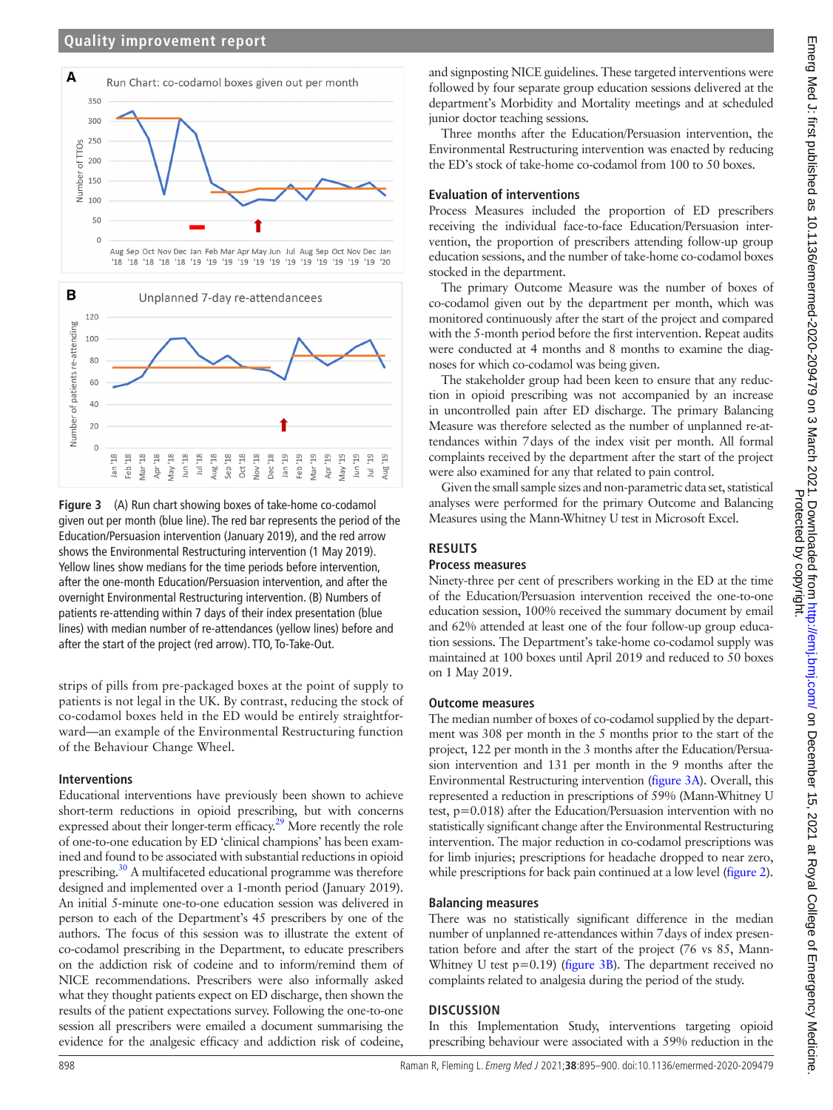#### **Quality improvement report**



<span id="page-3-0"></span>**Figure 3** (A) Run chart showing boxes of take-home co-codamol given out per month (blue line). The red bar represents the period of the Education/Persuasion intervention (January 2019), and the red arrow shows the Environmental Restructuring intervention (1 May 2019). Yellow lines show medians for the time periods before intervention, after the one-month Education/Persuasion intervention, and after the overnight Environmental Restructuring intervention. (B) Numbers of patients re-attending within 7 days of their index presentation (blue lines) with median number of re-attendances (yellow lines) before and after the start of the project (red arrow). TTO, To-Take-Out.

strips of pills from pre-packaged boxes at the point of supply to patients is not legal in the UK. By contrast, reducing the stock of co-codamol boxes held in the ED would be entirely straightforward—an example of the Environmental Restructuring function of the Behaviour Change Wheel.

#### **Interventions**

Educational interventions have previously been shown to achieve short-term reductions in opioid prescribing, but with concerns expressed about their longer-term efficacy.<sup>29</sup> More recently the role of one-to-one education by ED 'clinical champions' has been examined and found to be associated with substantial reductions in opioid prescribing.[30](#page-5-17) A multifaceted educational programme was therefore designed and implemented over a 1-month period (January 2019). An initial 5-minute one-to-one education session was delivered in person to each of the Department's 45 prescribers by one of the authors. The focus of this session was to illustrate the extent of co-codamol prescribing in the Department, to educate prescribers on the addiction risk of codeine and to inform/remind them of NICE recommendations. Prescribers were also informally asked what they thought patients expect on ED discharge, then shown the results of the patient expectations survey. Following the one-to-one session all prescribers were emailed a document summarising the evidence for the analgesic efficacy and addiction risk of codeine,

and signposting NICE guidelines. These targeted interventions were followed by four separate group education sessions delivered at the department's Morbidity and Mortality meetings and at scheduled junior doctor teaching sessions.

Three months after the Education/Persuasion intervention, the Environmental Restructuring intervention was enacted by reducing the ED's stock of take-home co-codamol from 100 to 50 boxes.

#### **Evaluation of interventions**

Process Measures included the proportion of ED prescribers receiving the individual face-to-face Education/Persuasion intervention, the proportion of prescribers attending follow-up group education sessions, and the number of take-home co-codamol boxes stocked in the department.

The primary Outcome Measure was the number of boxes of co-codamol given out by the department per month, which was monitored continuously after the start of the project and compared with the 5-month period before the first intervention. Repeat audits were conducted at 4 months and 8 months to examine the diagnoses for which co-codamol was being given.

The stakeholder group had been keen to ensure that any reduction in opioid prescribing was not accompanied by an increase in uncontrolled pain after ED discharge. The primary Balancing Measure was therefore selected as the number of unplanned re-attendances within 7days of the index visit per month. All formal complaints received by the department after the start of the project were also examined for any that related to pain control.

Given the small sample sizes and non-parametric data set, statistical analyses were performed for the primary Outcome and Balancing Measures using the Mann-Whitney U test in Microsoft Excel.

## **RESULTS**

## **Process measures**

Ninety-three per cent of prescribers working in the ED at the time of the Education/Persuasion intervention received the one-to-one education session, 100% received the summary document by email and 62% attended at least one of the four follow-up group education sessions. The Department's take-home co-codamol supply was maintained at 100 boxes until April 2019 and reduced to 50 boxes on 1 May 2019.

#### **Outcome measures**

The median number of boxes of co-codamol supplied by the department was 308 per month in the 5 months prior to the start of the project, 122 per month in the 3 months after the Education/Persuasion intervention and 131 per month in the 9 months after the Environmental Restructuring intervention [\(figure](#page-3-0) 3A). Overall, this represented a reduction in prescriptions of 59% (Mann-Whitney U test, p=0.018) after the Education/Persuasion intervention with no statistically significant change after the Environmental Restructuring intervention. The major reduction in co-codamol prescriptions was for limb injuries; prescriptions for headache dropped to near zero, while prescriptions for back pain continued at a low level ([figure](#page-1-1) 2).

#### **Balancing measures**

There was no statistically significant difference in the median number of unplanned re-attendances within 7days of index presentation before and after the start of the project (76 vs 85, Mann-Whitney U test  $p=0.19$ ) [\(figure](#page-3-0) 3B). The department received no complaints related to analgesia during the period of the study.

#### **DISCUSSION**

In this Implementation Study, interventions targeting opioid prescribing behaviour were associated with a 59% reduction in the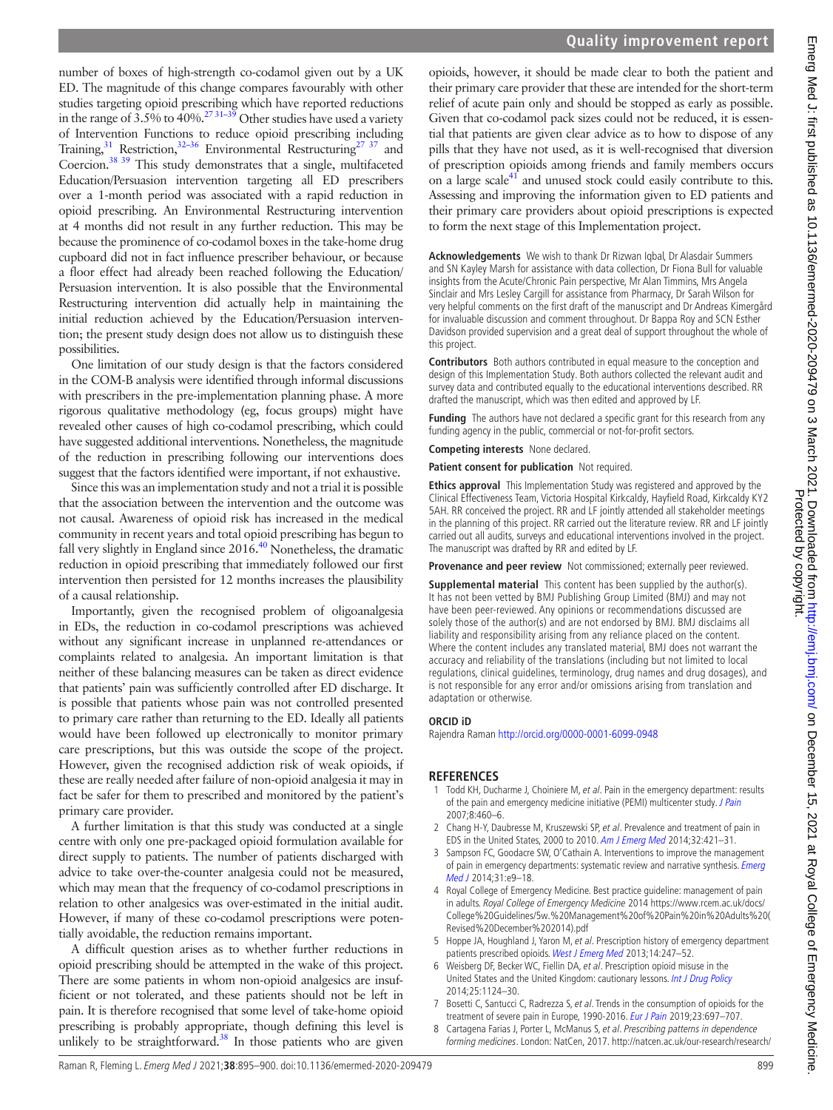number of boxes of high-strength co-codamol given out by a UK ED. The magnitude of this change compares favourably with other studies targeting opioid prescribing which have reported reductions in the range of 3.5% to 40%. $^{27\,31-39}$  Other studies have used a variety of Intervention Functions to reduce opioid prescribing including Training,  $31$  Restriction,  $32-36$  Environmental Restructuring<sup>[27 37](#page-5-14)</sup> and Coercion.<sup>38 39</sup> This study demonstrates that a single, multifaceted Education/Persuasion intervention targeting all ED prescribers over a 1-month period was associated with a rapid reduction in opioid prescribing. An Environmental Restructuring intervention at 4 months did not result in any further reduction. This may be because the prominence of co-codamol boxes in the take-home drug cupboard did not in fact influence prescriber behaviour, or because a floor effect had already been reached following the Education/ Persuasion intervention. It is also possible that the Environmental Restructuring intervention did actually help in maintaining the initial reduction achieved by the Education/Persuasion intervention; the present study design does not allow us to distinguish these possibilities.

One limitation of our study design is that the factors considered in the COM-B analysis were identified through informal discussions with prescribers in the pre-implementation planning phase. A more rigorous qualitative methodology (eg, focus groups) might have revealed other causes of high co-codamol prescribing, which could have suggested additional interventions. Nonetheless, the magnitude of the reduction in prescribing following our interventions does suggest that the factors identified were important, if not exhaustive.

Since this was an implementation study and not a trial it is possible that the association between the intervention and the outcome was not causal. Awareness of opioid risk has increased in the medical community in recent years and total opioid prescribing has begun to fall very slightly in England since  $2016<sup>40</sup>$  Nonetheless, the dramatic reduction in opioid prescribing that immediately followed our first intervention then persisted for 12 months increases the plausibility of a causal relationship.

Importantly, given the recognised problem of oligoanalgesia in EDs, the reduction in co-codamol prescriptions was achieved without any significant increase in unplanned re-attendances or complaints related to analgesia. An important limitation is that neither of these balancing measures can be taken as direct evidence that patients' pain was sufficiently controlled after ED discharge. It is possible that patients whose pain was not controlled presented to primary care rather than returning to the ED. Ideally all patients would have been followed up electronically to monitor primary care prescriptions, but this was outside the scope of the project. However, given the recognised addiction risk of weak opioids, if these are really needed after failure of non-opioid analgesia it may in fact be safer for them to prescribed and monitored by the patient's primary care provider.

A further limitation is that this study was conducted at a single centre with only one pre-packaged opioid formulation available for direct supply to patients. The number of patients discharged with advice to take over-the-counter analgesia could not be measured, which may mean that the frequency of co-codamol prescriptions in relation to other analgesics was over-estimated in the initial audit. However, if many of these co-codamol prescriptions were potentially avoidable, the reduction remains important.

A difficult question arises as to whether further reductions in opioid prescribing should be attempted in the wake of this project. There are some patients in whom non-opioid analgesics are insufficient or not tolerated, and these patients should not be left in pain. It is therefore recognised that some level of take-home opioid prescribing is probably appropriate, though defining this level is unlikely to be straightforward.<sup>38</sup> In those patients who are given

opioids, however, it should be made clear to both the patient and their primary care provider that these are intended for the short-term relief of acute pain only and should be stopped as early as possible. Given that co-codamol pack sizes could not be reduced, it is essential that patients are given clear advice as to how to dispose of any pills that they have not used, as it is well-recognised that diversion of prescription opioids among friends and family members occurs on a large scale $^{41}$  and unused stock could easily contribute to this. Assessing and improving the information given to ED patients and their primary care providers about opioid prescriptions is expected to form the next stage of this Implementation project.

**Acknowledgements** We wish to thank Dr Rizwan Iqbal, Dr Alasdair Summers and SN Kayley Marsh for assistance with data collection, Dr Fiona Bull for valuable insights from the Acute/Chronic Pain perspective, Mr Alan Timmins, Mrs Angela Sinclair and Mrs Lesley Cargill for assistance from Pharmacy, Dr Sarah Wilson for very helpful comments on the first draft of the manuscript and Dr Andreas Kimergård for invaluable discussion and comment throughout. Dr Bappa Roy and SCN Esther Davidson provided supervision and a great deal of support throughout the whole of this project.

**Contributors** Both authors contributed in equal measure to the conception and design of this Implementation Study. Both authors collected the relevant audit and survey data and contributed equally to the educational interventions described. RR drafted the manuscript, which was then edited and approved by LF.

**Funding** The authors have not declared a specific grant for this research from any funding agency in the public, commercial or not-for-profit sectors.

**Competing interests** None declared.

**Patient consent for publication** Not required.

**Ethics approval** This Implementation Study was registered and approved by the Clinical Effectiveness Team, Victoria Hospital Kirkcaldy, Hayfield Road, Kirkcaldy KY2 5AH. RR conceived the project. RR and LF jointly attended all stakeholder meetings in the planning of this project. RR carried out the literature review. RR and LF jointly carried out all audits, surveys and educational interventions involved in the project. The manuscript was drafted by RR and edited by LF.

**Provenance and peer review** Not commissioned; externally peer reviewed.

**Supplemental material** This content has been supplied by the author(s). It has not been vetted by BMJ Publishing Group Limited (BMJ) and may not have been peer-reviewed. Any opinions or recommendations discussed are solely those of the author(s) and are not endorsed by BMJ. BMJ disclaims all liability and responsibility arising from any reliance placed on the content. Where the content includes any translated material, BMJ does not warrant the accuracy and reliability of the translations (including but not limited to local regulations, clinical guidelines, terminology, drug names and drug dosages), and is not responsible for any error and/or omissions arising from translation and adaptation or otherwise.

## **ORCID iD**

Rajendra Raman<http://orcid.org/0000-0001-6099-0948>

## **REFERENCES**

- <span id="page-4-0"></span>1 Todd KH, Ducharme J, Choiniere M, et al. Pain in the emergency department: results of the pain and emergency medicine initiative (PEMI) multicenter study. [J Pain](http://dx.doi.org/10.1016/j.jpain.2006.12.005) 2007;8:460–6.
- <span id="page-4-2"></span>2 Chang H-Y, Daubresse M, Kruszewski SP, et al. Prevalence and treatment of pain in EDS in the United States, 2000 to 2010. [Am J Emerg Med](http://dx.doi.org/10.1016/j.ajem.2014.01.015) 2014;32:421–31.
- <span id="page-4-1"></span>3 Sampson FC, Goodacre SW, O'Cathain A. Interventions to improve the management of pain in emergency departments: systematic review and narrative synthesis. Emerg [Med J](http://dx.doi.org/10.1136/emermed-2013-203079) 2014;31:e9–18.
- <span id="page-4-6"></span>4 Royal College of Emergency Medicine. Best practice guideline: management of pain in adults. Royal College of Emergency Medicine 2014 [https://www.rcem.ac.uk/docs/](https://www.rcem.ac.uk/docs/College%20Guidelines/5w.%20Management%20of%20Pain%20in%20Adults%20(Revised%20December%202014).pdf) [College%20Guidelines/5w.%20Management%20of%20Pain%20in%20Adults%20\(](https://www.rcem.ac.uk/docs/College%20Guidelines/5w.%20Management%20of%20Pain%20in%20Adults%20(Revised%20December%202014).pdf) [Revised%20December%202014\).pdf](https://www.rcem.ac.uk/docs/College%20Guidelines/5w.%20Management%20of%20Pain%20in%20Adults%20(Revised%20December%202014).pdf)
- 5 Hoppe JA, Houghland J, Yaron M, et al. Prescription history of emergency department patients prescribed opioids. [West J Emerg Med](http://dx.doi.org/10.5811/westjem.2012.2.6915) 2013;14:247-52.
- <span id="page-4-3"></span>6 Weisberg DF, Becker WC, Fiellin DA, et al. Prescription opioid misuse in the United States and the United Kingdom: cautionary lessons. [Int J Drug Policy](http://dx.doi.org/10.1016/j.drugpo.2014.07.009) 2014;25:1124–30.
- <span id="page-4-4"></span>7 Bosetti C, Santucci C, Radrezza S, et al. Trends in the consumption of opioids for the treatment of severe pain in Europe, 1990-2016. [Eur J Pain](http://dx.doi.org/10.1002/ejp.1337) 2019;23:697-707.
- <span id="page-4-5"></span>Cartagena Farias J, Porter L, McManus S, et al. Prescribing patterns in dependence forming medicines. London: NatCen, 2017. [http://natcen.ac.uk/our-research/research/](http://natcen.ac.uk/our-research/research/prescribing-patterns-in-dependence-forming-medicines-2000-2015/)